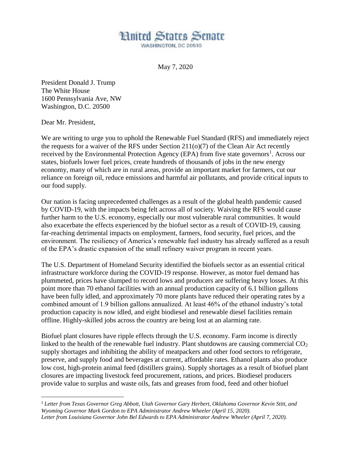## **Hnited States Senate**

WASHINGTON, DC 20510

May 7, 2020

President Donald J. Trump The White House 1600 Pennsylvania Ave, NW Washington, D.C. 20500

Dear Mr. President,

 $\overline{a}$ 

We are writing to urge you to uphold the Renewable Fuel Standard (RFS) and immediately reject the requests for a waiver of the RFS under Section 211(o)(7) of the Clean Air Act recently received by the Environmental Protection Agency (EPA) from five state governors<sup>1</sup>. Across our states, biofuels lower fuel prices, create hundreds of thousands of jobs in the new energy economy, many of which are in rural areas, provide an important market for farmers, cut our reliance on foreign oil, reduce emissions and harmful air pollutants, and provide critical inputs to our food supply.

Our nation is facing unprecedented challenges as a result of the global health pandemic caused by COVID-19, with the impacts being felt across all of society. Waiving the RFS would cause further harm to the U.S. economy, especially our most vulnerable rural communities. It would also exacerbate the effects experienced by the biofuel sector as a result of COVID-19, causing far-reaching detrimental impacts on employment, farmers, food security, fuel prices, and the environment. The resiliency of America's renewable fuel industry has already suffered as a result of the EPA's drastic expansion of the small refinery waiver program in recent years.

The U.S. Department of Homeland Security identified the biofuels sector as an essential critical infrastructure workforce during the COVID-19 response. However, as motor fuel demand has plummeted, prices have slumped to record lows and producers are suffering heavy losses. At this point more than 70 ethanol facilities with an annual production capacity of 6.1 billion gallons have been fully idled, and approximately 70 more plants have reduced their operating rates by a combined amount of 1.9 billion gallons annualized. At least 46% of the ethanol industry's total production capacity is now idled, and eight biodiesel and renewable diesel facilities remain offline. Highly-skilled jobs across the country are being lost at an alarming rate.

Biofuel plant closures have ripple effects through the U.S. economy. Farm income is directly linked to the health of the renewable fuel industry. Plant shutdowns are causing commercial  $CO<sub>2</sub>$ supply shortages and inhibiting the ability of meatpackers and other food sectors to refrigerate, preserve, and supply food and beverages at current, affordable rates. Ethanol plants also produce low cost, high-protein animal feed (distillers grains). Supply shortages as a result of biofuel plant closures are impacting livestock feed procurement, rations, and prices. Biodiesel producers provide value to surplus and waste oils, fats and greases from food, feed and other biofuel

<sup>1</sup> *Letter from Texas Governor Greg Abbott, Utah Governor Gary Herbert, Oklahoma Governor Kevin Stitt, and Wyoming Governor Mark Gordon to EPA Administrator Andrew Wheeler (April 15, 2020). Letter from Louisiana Governor John Bel Edwards to EPA Administrator Andrew Wheeler (April 7, 2020).*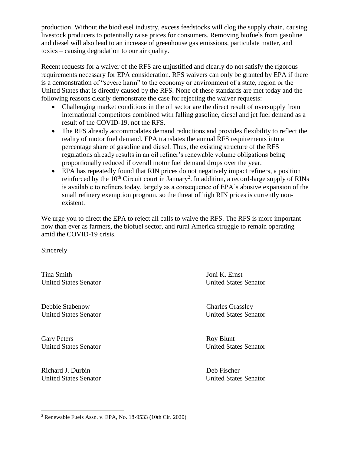production. Without the biodiesel industry, excess feedstocks will clog the supply chain, causing livestock producers to potentially raise prices for consumers. Removing biofuels from gasoline and diesel will also lead to an increase of greenhouse gas emissions, particulate matter, and toxics – causing degradation to our air quality.

Recent requests for a waiver of the RFS are unjustified and clearly do not satisfy the rigorous requirements necessary for EPA consideration. RFS waivers can only be granted by EPA if there is a demonstration of "severe harm" to the economy or environment of a state, region or the United States that is directly caused by the RFS. None of these standards are met today and the following reasons clearly demonstrate the case for rejecting the waiver requests:

- Challenging market conditions in the oil sector are the direct result of oversupply from international competitors combined with falling gasoline, diesel and jet fuel demand as a result of the COVID-19, not the RFS.
- The RFS already accommodates demand reductions and provides flexibility to reflect the reality of motor fuel demand. EPA translates the annual RFS requirements into a percentage share of gasoline and diesel. Thus, the existing structure of the RFS regulations already results in an oil refiner's renewable volume obligations being proportionally reduced if overall motor fuel demand drops over the year.
- EPA has repeatedly found that RIN prices do not negatively impact refiners, a position reinforced by the  $10<sup>th</sup>$  Circuit court in January<sup>2</sup>. In addition, a record-large supply of RINs is available to refiners today, largely as a consequence of EPA's abusive expansion of the small refinery exemption program, so the threat of high RIN prices is currently nonexistent.

We urge you to direct the EPA to reject all calls to waive the RFS. The RFS is more important now than ever as farmers, the biofuel sector, and rural America struggle to remain operating amid the COVID-19 crisis.

Sincerely

Tina Smith Joni K. Ernst United States Senator United States Senator

Debbie Stabenow Charles Grassley United States Senator United States Senator

Gary Peters Roy Blunt United States Senator United States Senator

Richard J. Durbin Deb Fischer United States Senator United States Senator

 $\overline{a}$ 

<sup>2</sup> Renewable Fuels Assn. v. EPA, No. 18-9533 (10th Cir. 2020)